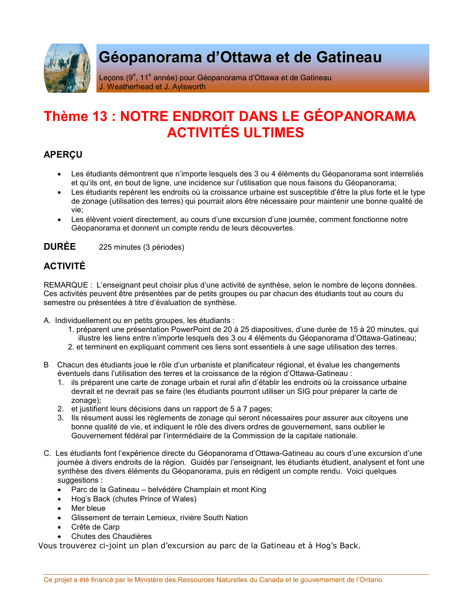

# Géopanorama d'Ottawa et de Gatineau

Leçons (9<sup>e</sup>, 11<sup>e</sup> année) pour Géopanorama d'Ottawa et de Gatineau J. Weatherhead et J. Aylsworth

# Thème 13 : NOTRE ENDROIT DANS LE GÉOPANORAMA **ACTIVITÉS ULTIMES**

# **APERCU**

- Les étudiants démontrent que n'importe lesquels des 3 ou 4 éléments du Géopanorama sont interreliés et qu'ils ont, en bout de ligne, une incidence sur l'utilisation que nous faisons du Géopanorama;
- Les étudiants repèrent les endroits où la croissance urbaine est susceptible d'être la plus forte et le type de zonage (utilisation des terres) qui pourrait alors être nécessaire pour maintenir une bonne qualité de vie:
- Les élèvent voient directement, au cours d'une excursion d'une journée, comment fonctionne notre Géopanorama et donnent un compte rendu de leurs découvertes.

#### **DURÉE** 225 minutes (3 périodes)

## **ACTIVITÉ**

REMARQUE : L'enseignant peut choisir plus d'une activité de synthèse, selon le nombre de leçons données. Ces activités peuvent être présentées par de petits groupes ou par chacun des étudiants tout au cours du semestre ou présentées à titre d'évaluation de synthèse.

A. Individuellement ou en petits groupes, les étudiants :

- 1. préparent une présentation PowerPoint de 20 à 25 diapositives, d'une durée de 15 à 20 minutes, qui illustre les liens entre n'importe lesquels des 3 ou 4 éléments du Géopanorama d'Ottawa-Gatineau;
- 2. et terminent en expliquant comment ces liens sont essentiels à une sage utilisation des terres.
- B Chacun des étudiants joue le rôle d'un urbaniste et planificateur régional, et évalue les changements éventuels dans l'utilisation des terres et la croissance de la région d'Ottawa-Gatineau :
	- 1. Ils préparent une carte de zonage urbain et rural afin d'établir les endroits où la croissance urbaine devrait et ne devrait pas se faire (les étudiants pourront utiliser un SIG pour préparer la carte de zonage):
	- 2. et justifient leurs décisions dans un rapport de 5 à 7 pages;
	- 3. Ils résument aussi les règlements de zonage qui seront nécessaires pour assurer aux citoyens une bonne qualité de vie, et indiquent le rôle des divers ordres de gouvernement, sans oublier le Gouvernement fédéral par l'intermédiaire de la Commission de la capitale nationale.
- C. Les étudiants font l'expérience directe du Géopanorama d'Ottawa-Gatineau au cours d'une excursion d'une journée à divers endroits de la région. Guidés par l'enseignant, les étudiants étudient, analysent et font une synthèse des divers éléments du Géopanorama, puis en rédigent un compte rendu. Voici quelques suggestions:
	- Parc de la Gatineau belvédère Champlain et mont King
	- Hog's Back (chutes Prince of Wales)
	- Mer bleue
	- Glissement de terrain Lemieux, rivière South Nation
	- Crête de Carp
	- Chutes des Chaudières

Vous trouverez ci-joint un plan d'excursion au parc de la Gatineau et à Hog's Back.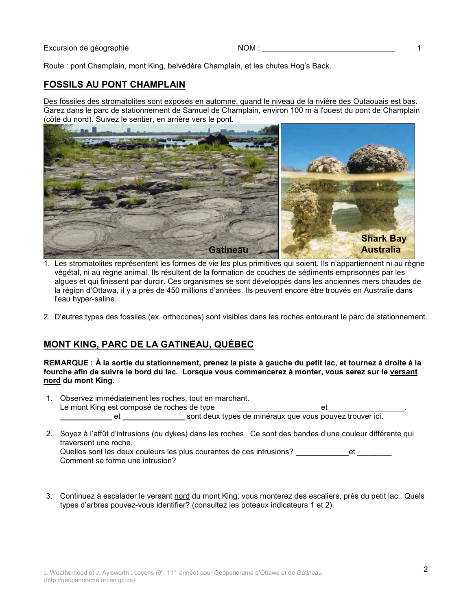Route : pont Champlain, mont King, belvédère Champlain, et les chutes Hog's Back.

### **FOSSILS AU PONT CHAMPLAIN**

Des fossiles des stromatolites sont exposés en automne, quand le niveau de la rivière des Outaouais est bas. Garez dans le parc de stationnement de Samuel de Champlain, environ 100 m à l'ouest du pont de Champlain (côté du nord). Suivez le sentier, en arrière vers le pont.



- 1. Les stromatolites représentent les formes de vie les plus primitives qui soient. Ils n'appartiennent ni au règne végétal, ni au règne animal. Ils résultent de la formation de couches de sédiments emprisonnés par les alques et qui finissent par durcir. Ces organismes se sont développés dans les anciennes mers chaudes de la région d'Ottawa, il y a près de 450 millions d'années. Ils peuvent encore être trouvés en Australie dans l'eau hyper-saline.
- 2. D'autres types des fossiles (ex. orthocones) sont visibles dans les roches entourant le parc de stationnement.

### **MONT KING, PARC DE LA GATINEAU, QUÉBEC**

#### REMARQUE : À la sortie du stationnement, prenez la piste à gauche du petit lac, et tournez à droite à la fourche afin de suivre le bord du lac. Lorsque vous commencerez à monter, vous serez sur le versant nord du mont King.

- 1. Observez immédiatement les roches, tout en marchant. Le mont King est composé de roches de type et
- 2. Soyez à l'affût d'intrusions (ou dykes) dans les roches. Ce sont des bandes d'une couleur différente qui traversent une roche. Quelles sont les deux couleurs les plus courantes de ces intrusions? et et Comment se forme une intrusion?
- 3. Continuez à escalader le versant nord du mont King; vous monterez des escaliers, près du petit lac. Quels types d'arbres pouvez-vous identifier? (consultez les poteaux indicateurs 1 et 2).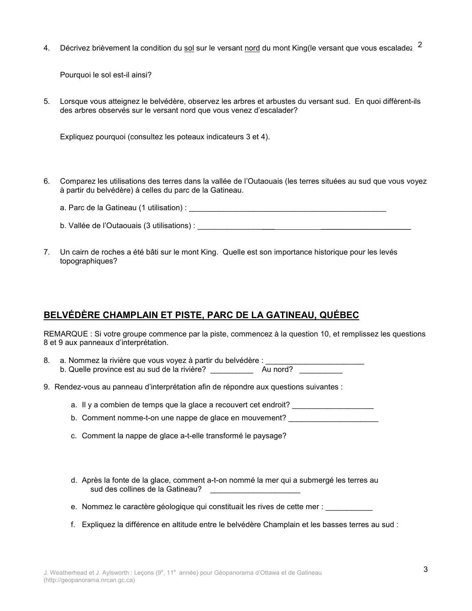Décrivez brièvement la condition du sol sur le versant nord du mont King(le versant que vous escaladez 2  $4<sup>1</sup>$ 

Pourquoi le sol est-il ainsi?

5. Lorsque vous atteignez le belvédère, observez les arbres et arbustes du versant sud. En quoi diffèrent-ils des arbres observés sur le versant nord que vous venez d'escalader?

Expliquez pourquoi (consultez les poteaux indicateurs 3 et 4).

- 6. Comparez les utilisations des terres dans la vallée de l'Outaouais (les terres situées au sud que vous voyez à partir du belvédère) à celles du parc de la Gatineau.
	-
	- b. Vallée de l'Outaouais (3 utilisations) :
- 7. Un cairn de roches a été bâti sur le mont King. Quelle est son importance historique pour les levés topographiques?

## BELVÉDÈRE CHAMPLAIN ET PISTE, PARC DE LA GATINEAU, QUÉBEC

REMARQUE : Si votre groupe commence par la piste, commencez à la question 10, et remplissez les questions 8 et 9 aux panneaux d'interprétation.

- a. Nommez la rivière que vous voyez à partir du belvédère : \_\_ 8. b. Quelle province est au sud de la rivière? Au nord?
- 9. Rendez-vous au panneau d'interprétation afin de répondre aux questions suivantes :
	- a. Il y a combien de temps que la glace a recouvert cet endroit?
	- b. Comment nomme-t-on une nappe de glace en mouvement?
	- c. Comment la nappe de glace a-t-elle transformé le paysage?
	- d. Après la fonte de la glace, comment a-t-on nommé la mer qui a submergé les terres au sud des collines de la Gatineau?
	- e. Nommez le caractère géologique qui constituait les rives de cette mer :
	- f. Expliquez la différence en altitude entre le belvédère Champlain et les basses terres au sud :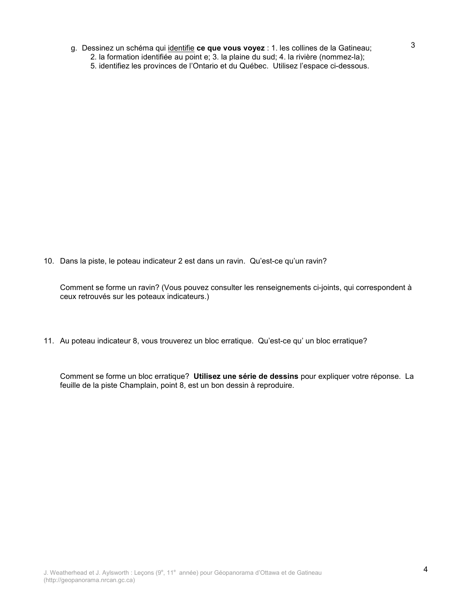- g. Dessinez un schéma qui identifie ce que vous voyez : 1. les collines de la Gatineau;
	- 2. la formation identifiée au point e; 3. la plaine du sud; 4. la rivière (nommez-la);
	- 5. identifiez les provinces de l'Ontario et du Québec. Utilisez l'espace ci-dessous.

10. Dans la piste, le poteau indicateur 2 est dans un ravin. Qu'est-ce qu'un ravin?

Comment se forme un ravin? (Vous pouvez consulter les renseignements ci-joints, qui correspondent à ceux retrouvés sur les poteaux indicateurs.)

11. Au poteau indicateur 8, vous trouverez un bloc erratique. Qu'est-ce qu' un bloc erratique?

Comment se forme un bloc erratique? Utilisez une série de dessins pour expliquer votre réponse. La feuille de la piste Champlain, point 8, est un bon dessin à reproduire.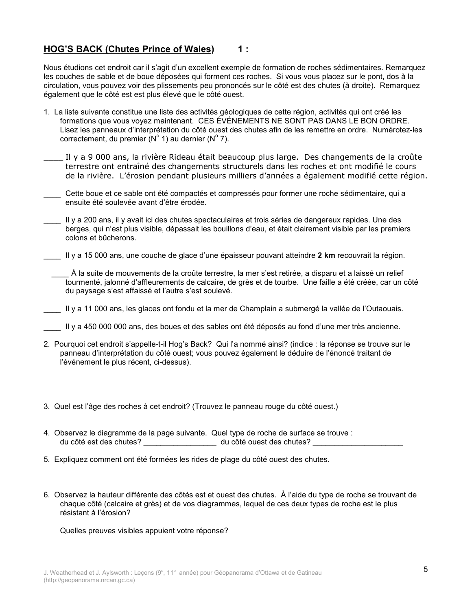#### **HOG'S BACK (Chutes Prince of Wales)**  $1:$

Nous étudions cet endroit car il s'agit d'un excellent exemple de formation de roches sédimentaires. Remarquez les couches de sable et de boue déposées qui forment ces roches. Si vous vous placez sur le pont, dos à la circulation, vous pouvez voir des plissements peu prononcés sur le côté est des chutes (à droite). Remarquez également que le côté est est plus élevé que le côté ouest.

- 1. La liste suivante constitue une liste des activités géologiques de cette région, activités qui ont créé les formations que vous voyez maintenant. CES ÉVÉNEMENTS NE SONT PAS DANS LE BON ORDRE. Lisez les panneaux d'interprétation du côté ouest des chutes afin de les remettre en ordre. Numérotez-les correctement, du premier ( $N^{\circ}$  1) au dernier ( $N^{\circ}$  7).
- Il y a 9 000 ans, la rivière Rideau était beaucoup plus large. Des changements de la croûte terrestre ont entraîné des changements structurels dans les roches et ont modifié le cours de la rivière. L'érosion pendant plusieurs milliers d'années a également modifié cette région.
- Cette boue et ce sable ont été compactés et compressés pour former une roche sédimentaire, qui a ensuite été soulevée avant d'être érodée.
- Il y a 200 ans, il y avait ici des chutes spectaculaires et trois séries de dangereux rapides. Une des berges, qui n'est plus visible, dépassait les bouillons d'eau, et était clairement visible par les premiers colons et bûcherons.
- Il y a 15 000 ans, une couche de glace d'une épaisseur pouvant atteindre 2 km recouvrait la région.
	- À la suite de mouvements de la croûte terrestre, la mer s'est retirée, a disparu et a laissé un relief tourmenté, jalonné d'affleurements de calcaire, de grès et de tourbe. Une faille a été créée, car un côté du paysage s'est affaissé et l'autre s'est soulevé.
- Il y a 11 000 ans, les glaces ont fondu et la mer de Champlain a submergé la vallée de l'Outaouais.
- Il y a 450 000 000 ans, des boues et des sables ont été déposés au fond d'une mer très ancienne.
- 2. Pourquoi cet endroit s'appelle-t-il Hog's Back? Qui l'a nommé ainsi? (indice : la réponse se trouve sur le panneau d'interprétation du côté ouest; vous pouvez également le déduire de l'énoncé traitant de l'événement le plus récent, ci-dessus).
- 3. Quel est l'âge des roches à cet endroit? (Trouvez le panneau rouge du côté ouest.)
- 4. Observez le diagramme de la page suivante. Quel type de roche de surface se trouve : du côté est des chutes? \_\_\_\_\_\_\_\_\_\_\_\_\_\_\_\_\_\_\_ du côté ouest des chutes? \_\_\_\_\_\_\_\_\_\_
- 5. Expliquez comment ont été formées les rides de plage du côté ouest des chutes.
- 6. Observez la hauteur différente des côtés est et ouest des chutes. À l'aide du type de roche se trouvant de chaque côté (calcaire et grès) et de vos diagrammes, lequel de ces deux types de roche est le plus résistant à l'érosion?

Quelles preuves visibles appuient votre réponse?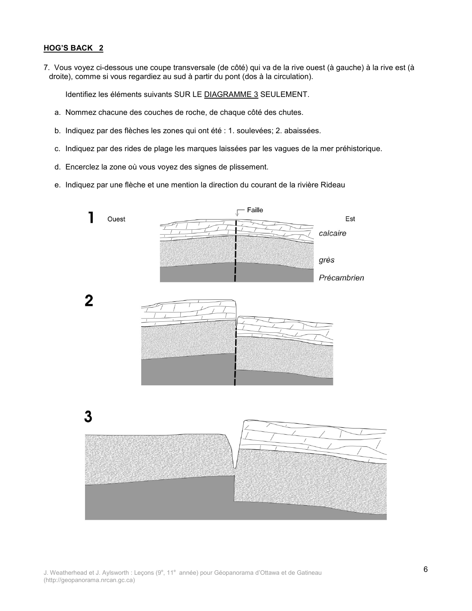#### **HOG'S BACK 2**

7. Vous voyez ci-dessous une coupe transversale (de côté) qui va de la rive ouest (à gauche) à la rive est (à droite), comme si vous regardiez au sud à partir du pont (dos à la circulation).

Identifiez les éléments suivants SUR LE DIAGRAMME 3 SEULEMENT.

- a. Nommez chacune des couches de roche, de chaque côté des chutes.
- b. Indiquez par des flèches les zones qui ont été : 1. soulevées; 2. abaissées.
- c. Indiquez par des rides de plage les marques laissées par les vagues de la mer préhistorique.
- d. Encerclez la zone où vous voyez des signes de plissement.
- e. Indiquez par une flèche et une mention la direction du courant de la rivière Rideau